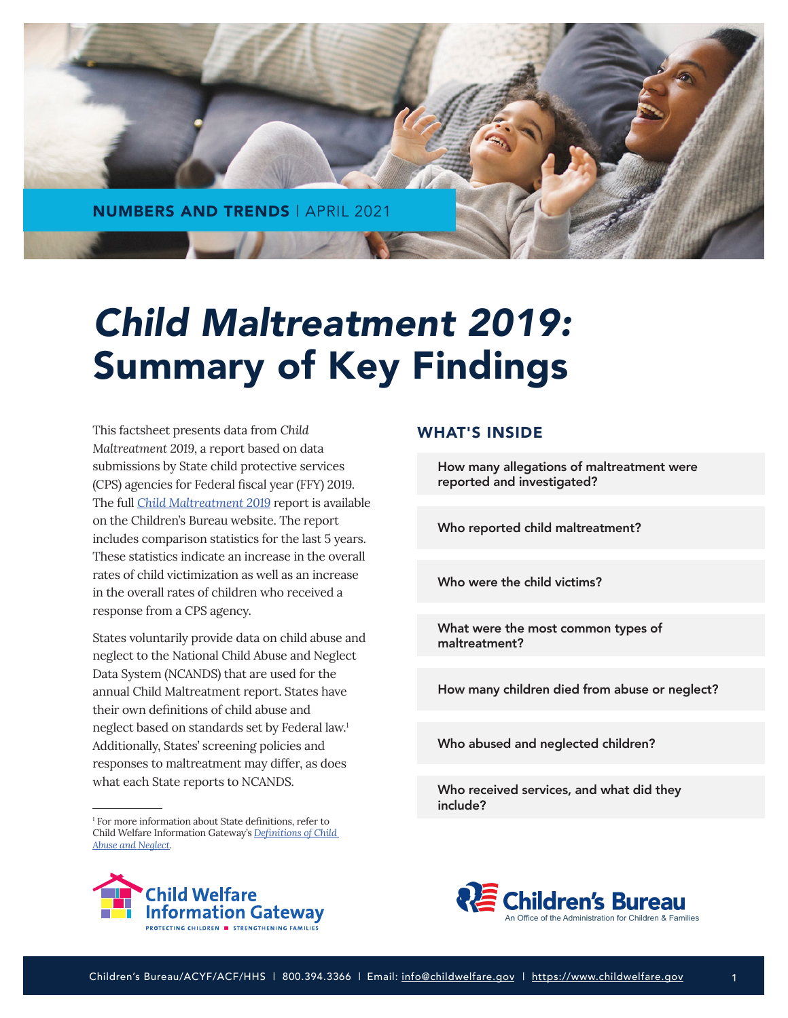

# *Child Maltreatment 2019:* Summary of Key Findings

This factsheet presents data from *Child Maltreatment 2019*, a report based on data submissions by State child protective services (CPS) agencies for Federal fiscal year (FFY) 2019. The full *[Child Maltreatment 2019](https://www.acf.hhs.gov/cb/report/child-maltreatment-2019)* report is available on the Children's Bureau website. The report includes comparison statistics for the last 5 years. These statistics indicate an increase in the overall rates of child victimization as well as an increase in the overall rates of children who received a response from a CPS agency.

States voluntarily provide data on child abuse and neglect to the National Child Abuse and Neglect Data System (NCANDS) that are used for the annual Child Maltreatment report. States have their own definitions of child abuse and neglect based on standards set by Federal law.1 Additionally, States' screening policies and responses to maltreatment may differ, as does what each State reports to NCANDS.

<sup>1</sup> For more information about State definitions, refer to Child Welfare Information Gateway's *[Definitions of Child](https://www.childwelfare.gov/topics/systemwide/laws-policies/statutes/define/)  [Abuse and Neglect](https://www.childwelfare.gov/topics/systemwide/laws-policies/statutes/define/)*.



#### WHAT'S INSIDE

[How many allegations of maltreatment were](#page-1-0) reported and investigated?

[Who reported child maltreatment?](#page-2-0)

[Who were the child victims?](#page-2-0)

[What were the most common types of](#page-1-0) maltreatment?

[How many children died from abuse or neglect?](#page-4-0)

[Who abused and neglected children?](#page-5-0)

[Who received services, and what did they](#page-6-0)  include?

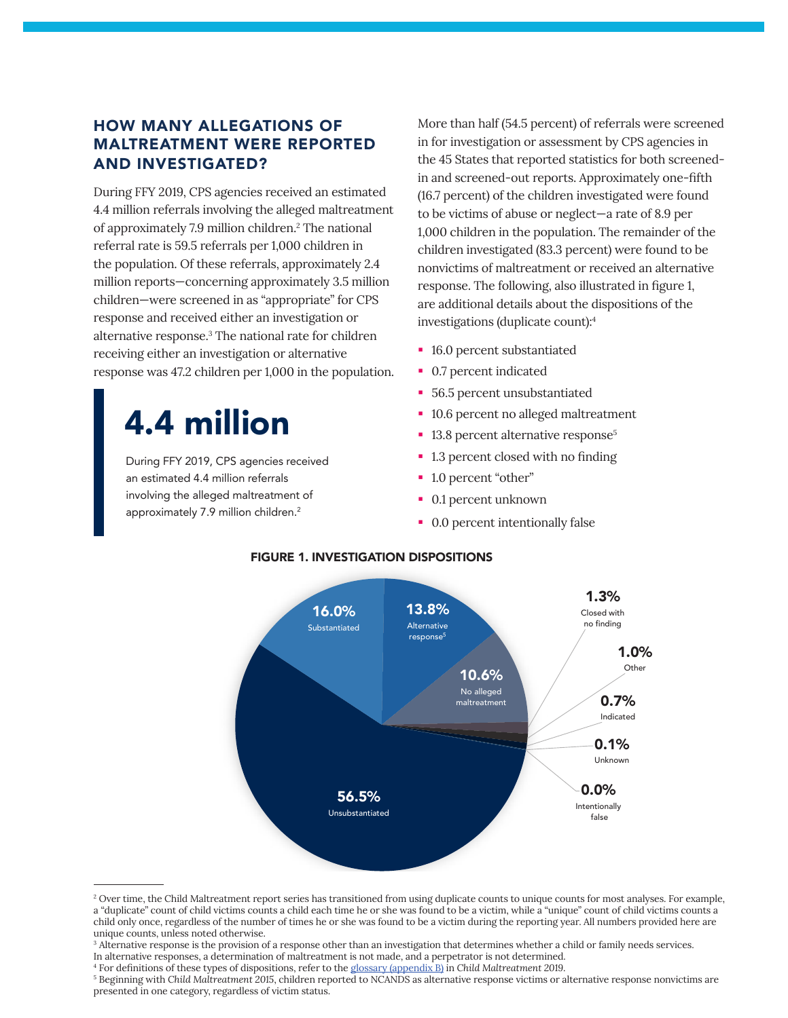## <span id="page-1-0"></span>HOW MANY ALLEGATIONS OF MALTREATMENT WERE REPORTED AND INVESTIGATED?

During FFY 2019, CPS agencies received an estimated 4.4 million referrals involving the alleged maltreatment of approximately 7.9 million children.<sup>2</sup> The national referral rate is 59.5 referrals per 1,000 children in the population. Of these referrals, approximately 2.4 million reports—concerning approximately 3.5 million children—were screened in as "appropriate" for CPS response and received either an investigation or alternative response.<sup>3</sup> The national rate for children receiving either an investigation or alternative response was 47.2 children per 1,000 in the population.

## 4.4 million

During FFY 2019, CPS agencies received an estimated 4.4 million referrals involving the alleged maltreatment of approximately 7.9 million children.<sup>2</sup>

More than half (54.5 percent) of referrals were screened in for investigation or assessment by CPS agencies in the 45 States that reported statistics for both screenedin and screened-out reports. Approximately one-fifth (16.7 percent) of the children investigated were found to be victims of abuse or neglect—a rate of 8.9 per 1,000 children in the population. The remainder of the children investigated (83.3 percent) were found to be nonvictims of maltreatment or received an alternative response. The following, also illustrated in figure 1, are additional details about the dispositions of the investigations (duplicate count):4

- 16.0 percent substantiated
- 0.7 percent indicated
- 56.5 percent unsubstantiated
- 10.6 percent no alleged maltreatment
- <sup>1</sup> 13.8 percent alternative response<sup>5</sup>
- 1.3 percent closed with no finding
- 1.0 percent "other"
- 0.1 percent unknown
- 0.0 percent intentionally false



#### FIGURE 1. INVESTIGATION DISPOSITIONS

<sup>&</sup>lt;sup>2</sup> Over time, the Child Maltreatment report series has transitioned from using duplicate counts to unique counts for most analyses. For example, a "duplicate" count of child victims counts a child each time he or she was found to be a victim, while a "unique" count of child victims counts a child only once, regardless of the number of times he or she was found to be a victim during the reporting year. All numbers provided here are unique counts, unless noted otherwise.

<sup>&</sup>lt;sup>3</sup> Alternative response is the provision of a response other than an investigation that determines whether a child or family needs services.

In alternative responses, a determination of maltreatment is not made, and a perpetrator is not determined. 4 For definitions of these types of dispositions, refer to the [glossary \(appendix B\)](https://www.acf.hhs.gov/sites/default/files/documents/cb/cm2019.pdf#page=129) in *Child Maltreatment 2019*.

 $^5$  Beginning with Child Maltreatment 2015, children reported to NCANDS as alternative response victims or alternative response nonvictims are presented in one category, regardless of victim status.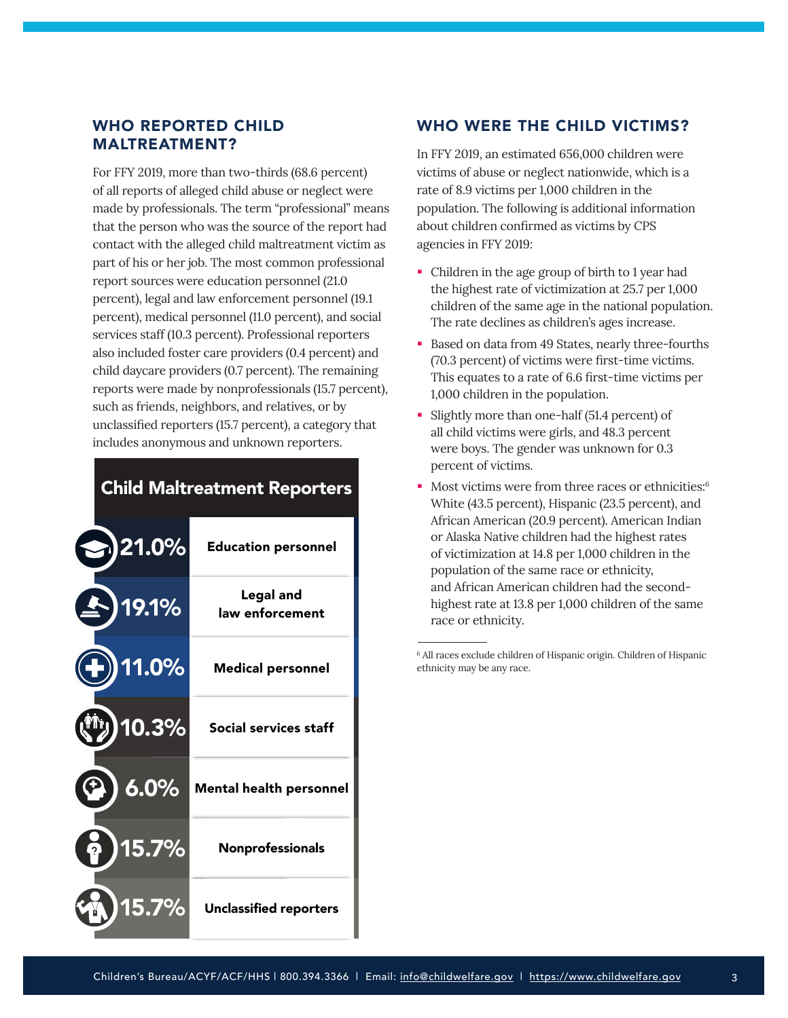### <span id="page-2-0"></span>WHO REPORTED CHILD MALTREATMENT?

For FFY 2019, more than two-thirds (68.6 percent) of all reports of alleged child abuse or neglect were made by professionals. The term "professional" means that the person who was the source of the report had contact with the alleged child maltreatment victim as part of his or her job. The most common professional report sources were education personnel (21.0 percent), legal and law enforcement personnel (19.1 percent), medical personnel (11.0 percent), and social services staff (10.3 percent). Professional reporters also included foster care providers (0.4 percent) and child daycare providers (0.7 percent). The remaining reports were made by nonprofessionals (15.7 percent), such as friends, neighbors, and relatives, or by unclassified reporters (15.7 percent), a category that includes anonymous and unknown reporters.

## **Child Maltreatment Reporters**

| $\cdot$ )21.0% | <b>Education personnel</b>          |
|----------------|-------------------------------------|
| 19.1%          | <b>Legal and</b><br>law enforcement |
| 11.0%          | <b>Medical personnel</b>            |
| $10.3\%$       | Social services staff               |
| 6.0%           | <b>Mental health personnel</b>      |
| 15.7%          | Nonprofessionals                    |
| $15.7\%$       | <b>Unclassified reporters</b>       |

### WHO WERE THE CHILD VICTIMS?

In FFY 2019, an estimated 656,000 children were victims of abuse or neglect nationwide, which is a rate of 8.9 victims per 1,000 children in the population. The following is additional information about children confirmed as victims by CPS agencies in FFY 2019:

- Children in the age group of birth to 1 year had the highest rate of victimization at 25.7 per 1,000 children of the same age in the national population. The rate declines as children's ages increase.
- Based on data from 49 States, nearly three-fourths (70.3 percent) of victims were first-time victims. This equates to a rate of 6.6 first-time victims per 1,000 children in the population.
- Slightly more than one-half (51.4 percent) of all child victims were girls, and 48.3 percent were boys. The gender was unknown for 0.3 percent of victims.
- Most victims were from three races or ethnicities:<sup>6</sup> White (43.5 percent), Hispanic (23.5 percent), and African American (20.9 percent). American Indian or Alaska Native children had the highest rates of victimization at 14.8 per 1,000 children in the population of the same race or ethnicity, and African American children had the secondhighest rate at 13.8 per 1,000 children of the same race or ethnicity.

6 All races exclude children of Hispanic origin. Children of Hispanic ethnicity may be any race.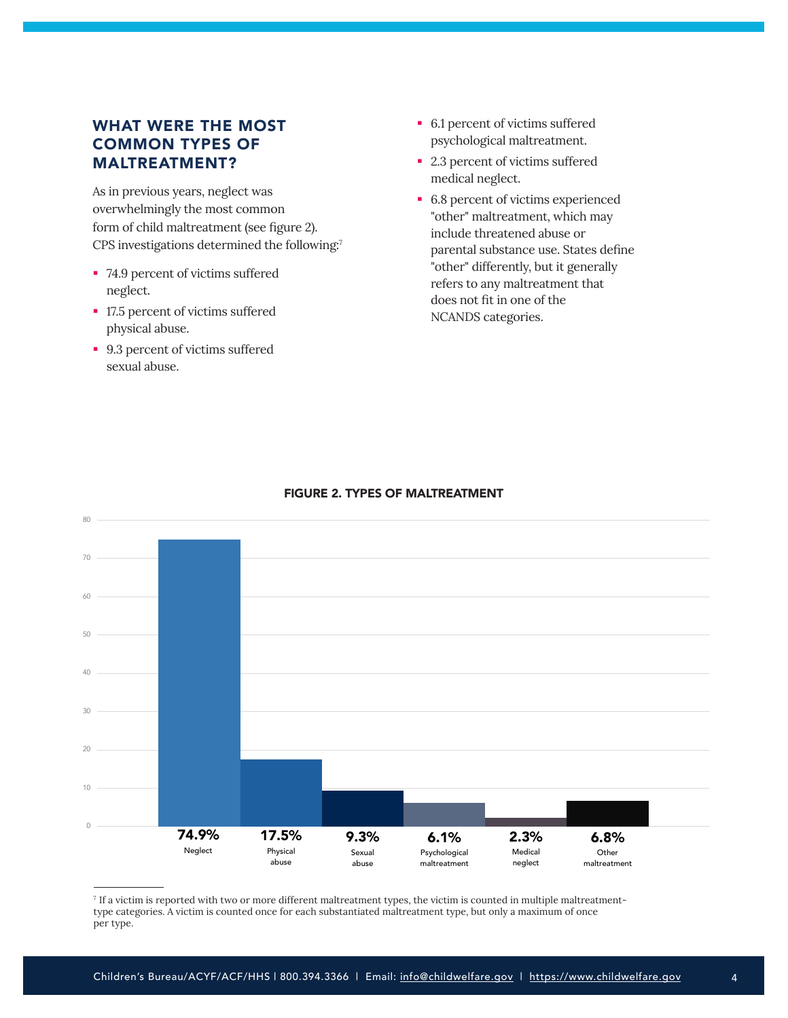## WHAT WERE THE MOST COMMON TYPES OF MALTREATMENT?

As in previous years, neglect was overwhelmingly the most common form of child maltreatment (see figure 2). CPS investigations determined the following:7

- 74.9 percent of victims suffered neglect.
- 17.5 percent of victims suffered physical abuse.
- 9.3 percent of victims suffered sexual abuse.
- 6.1 percent of victims suffered psychological maltreatment.
- 2.3 percent of victims suffered medical neglect.
- 6.8 percent of victims experienced "other" maltreatment, which may include threatened abuse or parental substance use. States define "other" differently, but it generally refers to any maltreatment that does not fit in one of the NCANDS categories.



#### FIGURE 2. TYPES OF MALTREATMENT

7 If a victim is reported with two or more different maltreatment types, the victim is counted in multiple maltreatmenttype categories. A victim is counted once for each substantiated maltreatment type, but only a maximum of once per type.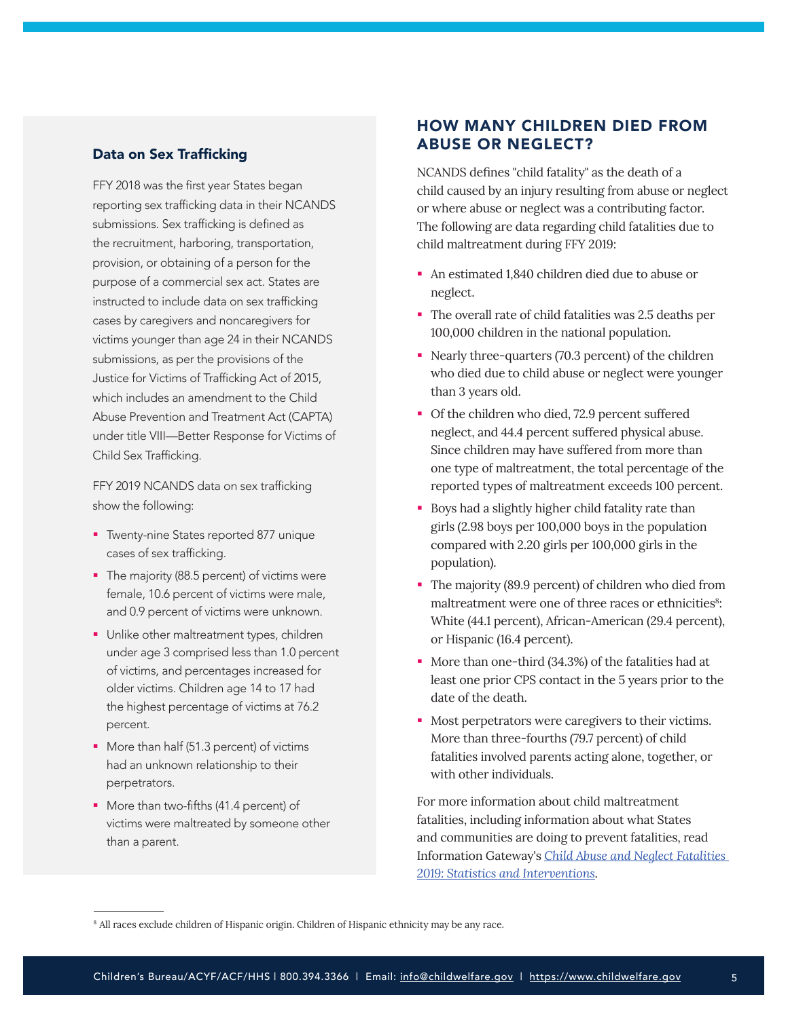#### <span id="page-4-0"></span>Data on Sex Trafficking

FFY 2018 was the first year States began reporting sex trafficking data in their NCANDS submissions. Sex trafficking is defined as the recruitment, harboring, transportation, provision, or obtaining of a person for the purpose of a commercial sex act. States are instructed to include data on sex trafficking cases by caregivers and noncaregivers for victims younger than age 24 in their NCANDS submissions, as per the provisions of the Justice for Victims of Trafficking Act of 2015, which includes an amendment to the Child Abuse Prevention and Treatment Act (CAPTA) under title VIII—Better Response for Victims of Child Sex Trafficking.

FFY 2019 NCANDS data on sex trafficking show the following:

- **Timenty-nine States reported 877 unique** cases of sex trafficking.
- The majority (88.5 percent) of victims were female, 10.6 percent of victims were male, and 0.9 percent of victims were unknown.
- **Unlike other maltreatment types, children** under age 3 comprised less than 1.0 percent of victims, and percentages increased for older victims. Children age 14 to 17 had the highest percentage of victims at 76.2 percent.
- More than half (51.3 percent) of victims had an unknown relationship to their perpetrators.
- **More than two-fifths (41.4 percent) of** victims were maltreated by someone other than a parent.

## HOW MANY CHILDREN DIED FROM ABUSE OR NEGLECT?

NCANDS defines "child fatality" as the death of a child caused by an injury resulting from abuse or neglect or where abuse or neglect was a contributing factor. The following are data regarding child fatalities due to child maltreatment during FFY 2019:

- An estimated 1,840 children died due to abuse or neglect.
- The overall rate of child fatalities was 2.5 deaths per 100,000 children in the national population.
- Nearly three-quarters (70.3 percent) of the children who died due to child abuse or neglect were younger than 3 years old.
- Of the children who died, 72.9 percent suffered neglect, and 44.4 percent suffered physical abuse. Since children may have suffered from more than one type of maltreatment, the total percentage of the reported types of maltreatment exceeds 100 percent.
- **Boys had a slightly higher child fatality rate than** girls (2.98 boys per 100,000 boys in the population compared with 2.20 girls per 100,000 girls in the population).
- The majority (89.9 percent) of children who died from maltreatment were one of three races or ethnicities<sup>8</sup>: White (44.1 percent), African-American (29.4 percent), or Hispanic (16.4 percent).
- More than one-third (34.3%) of the fatalities had at least one prior CPS contact in the 5 years prior to the date of the death.
- **Most perpetrators were caregivers to their victims.** More than three-fourths (79.7 percent) of child fatalities involved parents acting alone, together, or with other individuals.

For more information about child maltreatment fatalities, including information about what States and communities are doing to prevent fatalities, read Information Gateway's *[Child Abuse and Neglect Fatalities](https://www.childwelfare.gov/pubs/factsheets/fatality/)  [2019: Statistics and Interventions](https://www.childwelfare.gov/pubs/factsheets/fatality/)*.

<sup>&</sup>lt;sup>8</sup> All races exclude children of Hispanic origin. Children of Hispanic ethnicity may be any race.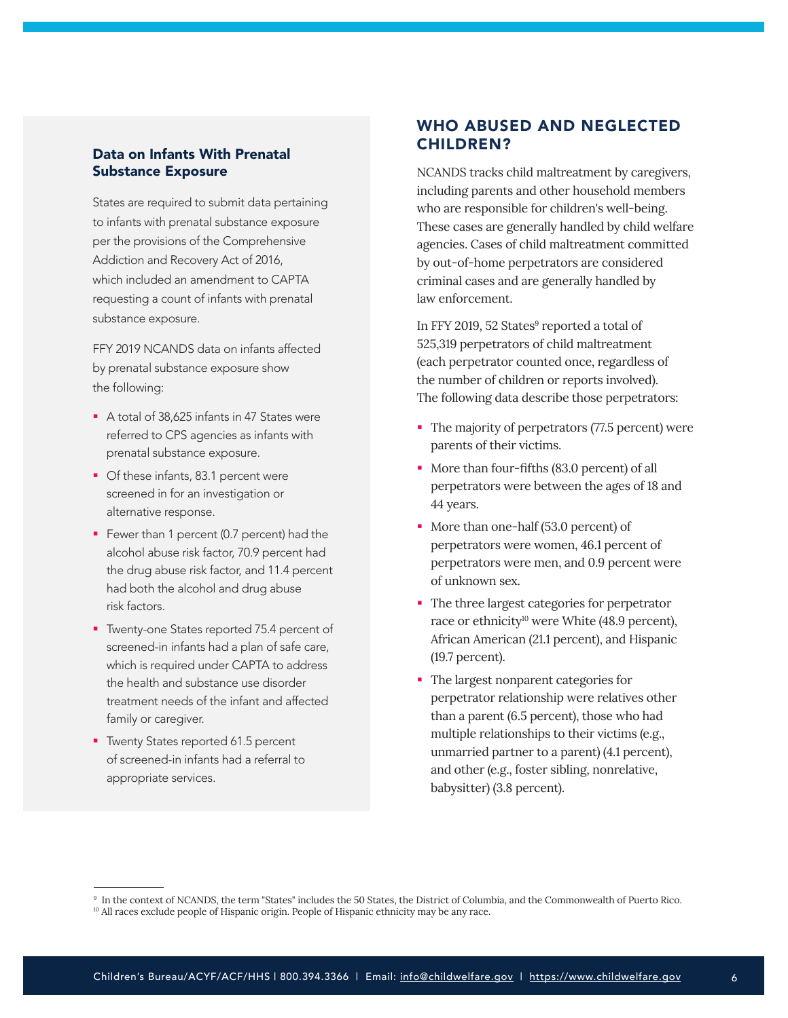#### <span id="page-5-0"></span>Data on Infants With Prenatal Substance Exposure

States are required to submit data pertaining to infants with prenatal substance exposure per the provisions of the Comprehensive Addiction and Recovery Act of 2016, which included an amendment to CAPTA requesting a count of infants with prenatal substance exposure.

FFY 2019 NCANDS data on infants affected by prenatal substance exposure show the following:

- A total of 38,625 infants in 47 States were referred to CPS agencies as infants with prenatal substance exposure.
- **Of these infants, 83.1 percent were** screened in for an investigation or alternative response.
- Fewer than 1 percent (0.7 percent) had the alcohol abuse risk factor, 70.9 percent had the drug abuse risk factor, and 11.4 percent had both the alcohol and drug abuse risk factors.
- **T** Twenty-one States reported 75.4 percent of screened-in infants had a plan of safe care, which is required under CAPTA to address the health and substance use disorder treatment needs of the infant and affected family or caregiver.
- **Timenty States reported 61.5 percent** of screened-in infants had a referral to appropriate services.

## WHO ABUSED AND NEGLECTED CHILDREN?

NCANDS tracks child maltreatment by caregivers, including parents and other household members who are responsible for children's well-being. These cases are generally handled by child welfare agencies. Cases of child maltreatment committed by out-of-home perpetrators are considered criminal cases and are generally handled by law enforcement.

In FFY 2019, 52 States<sup>9</sup> reported a total of 525,319 perpetrators of child maltreatment (each perpetrator counted once, regardless of the number of children or reports involved). The following data describe those perpetrators:

- The majority of perpetrators (77.5 percent) were parents of their victims.
- More than four-fifths (83.0 percent) of all perpetrators were between the ages of 18 and 44 years.
- More than one-half (53.0 percent) of perpetrators were women, 46.1 percent of perpetrators were men, and 0.9 percent were of unknown sex.
- The three largest categories for perpetrator race or ethnicity<sup>10</sup> were White (48.9 percent), African American (21.1 percent), and Hispanic (19.7 percent).
- The largest nonparent categories for perpetrator relationship were relatives other than a parent (6.5 percent), those who had multiple relationships to their victims (e.g., unmarried partner to a parent) (4.1 percent), and other (e.g., foster sibling, nonrelative, babysitter) (3.8 percent).

<sup>9</sup> In the context of NCANDS, the term "States" includes the 50 States, the District of Columbia, and the Commonwealth of Puerto Rico.

<sup>&</sup>lt;sup>10</sup> All races exclude people of Hispanic origin. People of Hispanic ethnicity may be any race.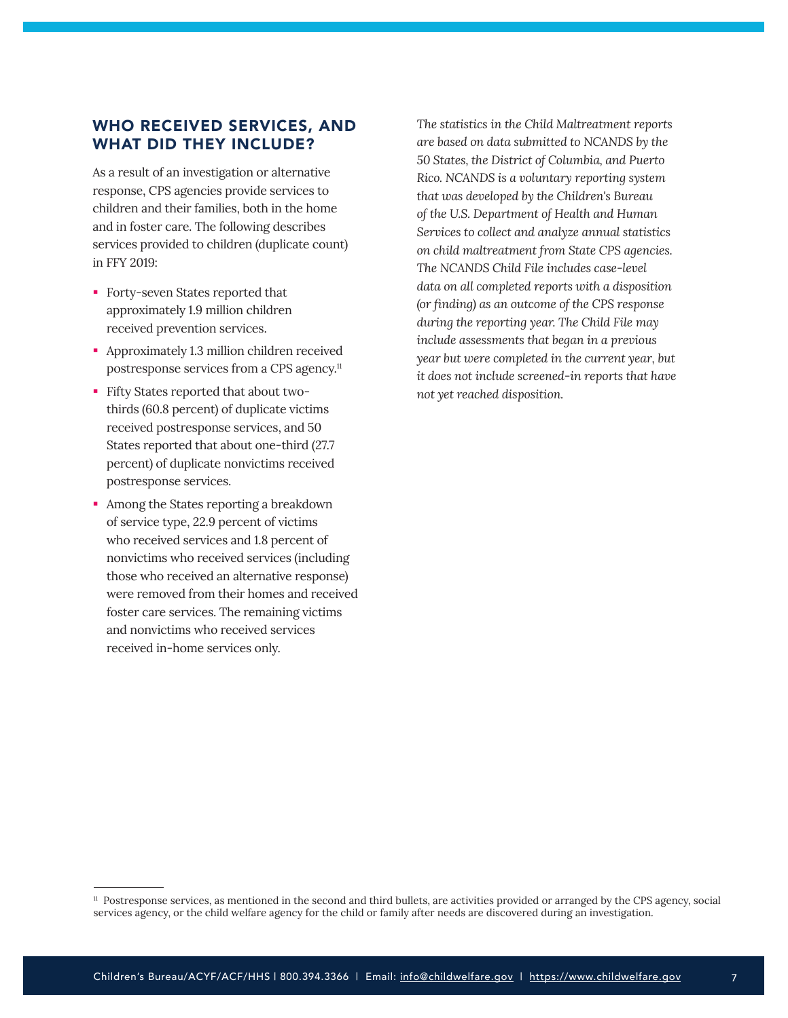### <span id="page-6-0"></span>WHO RECEIVED SERVICES, AND WHAT DID THEY INCLUDE?

As a result of an investigation or alternative response, CPS agencies provide services to children and their families, both in the home and in foster care. The following describes services provided to children (duplicate count) in FFY 2019:

- **Forty-seven States reported that** approximately 1.9 million children received prevention services.
- **Approximately 1.3 million children received** postresponse services from a CPS agency.<sup>11</sup>
- Fifty States reported that about twothirds (60.8 percent) of duplicate victims received postresponse services, and 50 States reported that about one-third (27.7 percent) of duplicate nonvictims received postresponse services.
- Among the States reporting a breakdown of service type, 22.9 percent of victims who received services and 1.8 percent of nonvictims who received services (including those who received an alternative response) were removed from their homes and received foster care services. The remaining victims and nonvictims who received services received in-home services only.

*The statistics in the Child Maltreatment reports are based on data submitted to NCANDS by the 50 States, the District of Columbia, and Puerto Rico. NCANDS is a voluntary reporting system that was developed by the Children's Bureau of the U.S. Department of Health and Human Services to collect and analyze annual statistics on child maltreatment from State CPS agencies. The NCANDS Child File includes case-level data on all completed reports with a disposition (or finding) as an outcome of the CPS response during the reporting year. The Child File may include assessments that began in a previous year but were completed in the current year, but it does not include screened-in reports that have not yet reached disposition.*

<sup>11</sup> Postresponse services, as mentioned in the second and third bullets, are activities provided or arranged by the CPS agency, social services agency, or the child welfare agency for the child or family after needs are discovered during an investigation.